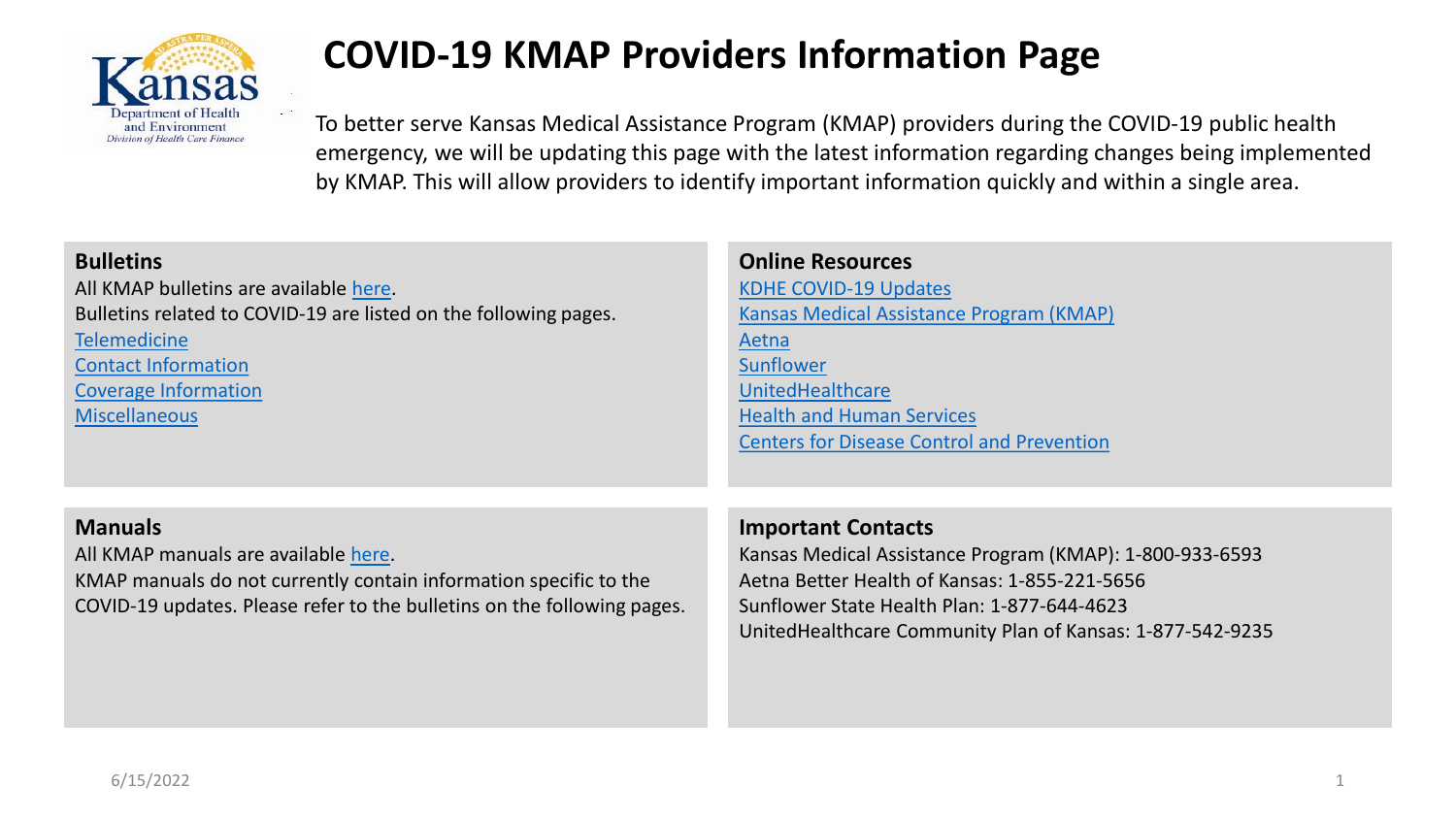

# **COVID-19 KMAP Providers Information Page**

To better serve Kansas Medical Assistance Program (KMAP) providers during the COVID-19 public health emergency, we will be updating this page with the latest information regarding changes being implemented by KMAP. This will allow providers to identify important information quickly and within a single area.

| <b>Bulletins</b><br>All KMAP bulletins are available here.<br>Bulletins related to COVID-19 are listed on the following pages.<br><b>Telemedicine</b><br><b>Contact Information</b><br><b>Coverage Information</b><br><b>Miscellaneous</b> | <b>Online Resources</b><br><b>KDHE COVID-19 Updates</b><br>Kansas Medical Assistance Program (KMAP)<br><b>Aetna</b><br>Sunflower<br><b>UnitedHealthcare</b><br><b>Health and Human Services</b><br><b>Centers for Disease Control and Prevention</b> |
|--------------------------------------------------------------------------------------------------------------------------------------------------------------------------------------------------------------------------------------------|------------------------------------------------------------------------------------------------------------------------------------------------------------------------------------------------------------------------------------------------------|
| <b>Manuals</b><br>All KMAP manuals are available here.<br>KMAP manuals do not currently contain information specific to the<br>COVID-19 updates. Please refer to the bulletins on the following pages.                                     | <b>Important Contacts</b><br>Kansas Medical Assistance Program (KMAP): 1-800-933-6593<br>Aetna Better Health of Kansas: 1-855-221-5656<br>Sunflower State Health Plan: 1-877-644-4623<br>United Healthcare Community Plan of Kansas: 1-877-542-9235  |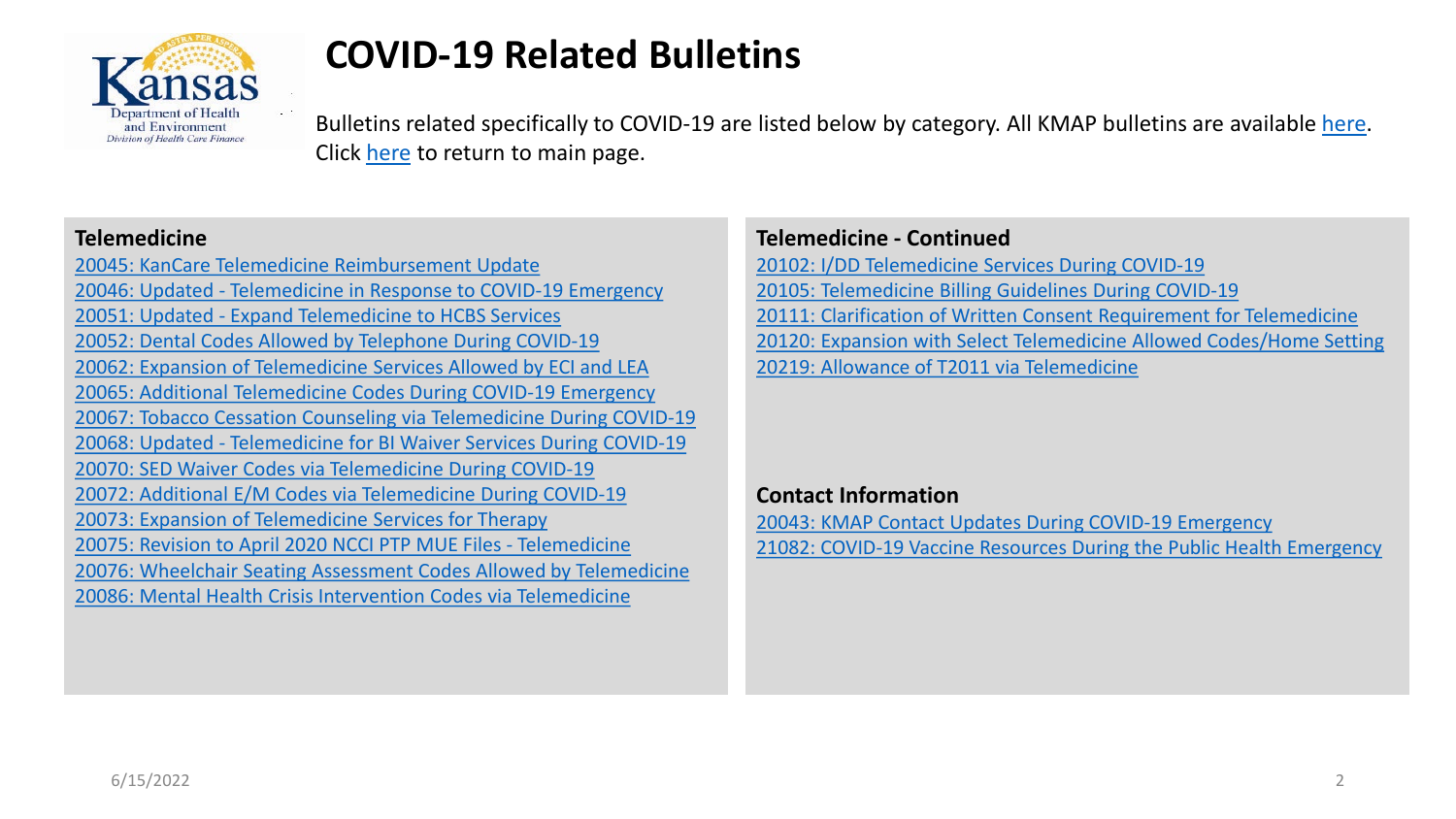<span id="page-1-0"></span>

# **COVID-19 Related Bulletins**

Bulletins related specifically to COVID-19 are listed below by category. All KMAP bulletins are available [here.](https://portal.kmap-state-ks.us/PublicPage/Public/Bulletins/) Click [here](https://portal.kmap-state-ks.us/PublicPage/Public/Index/) to return to main page.

#### **Telemedicine**

[20045: KanCare Telemedicine Reimbursement Update](https://portal.kmap-state-ks.us/Documents/Provider/Bulletins/20045%20-%20General%20-%20KanCare_Telemedicine_Reimbursement_Update.pdf) 20046: Updated - [Telemedicine in Response to COVID-19 Emergency](https://portal.kmap-state-ks.us/Documents/Provider/Bulletins/20046%20-%20General%20-%20Telemedicine_Updates_in_Response%20to_COVID19.pdf) 20051: Updated - [Expand Telemedicine to HCBS Services](https://portal.kmap-state-ks.us/Documents/Provider/Bulletins/20051%20-%20HCBS%20-%20Expanding_Telemedicine_for_HCBS_Services.pdf) [20052: Dental Codes Allowed by Telephone During COVID-19](https://portal.kmap-state-ks.us/Documents/Provider/Bulletins/20052%20-%20Dental%20-%20Dental_Codes_via_Telephone.pdf) [20062: Expansion of Telemedicine Services Allowed by ECI and LEA](https://portal.kmap-state-ks.us/Documents/Provider/Bulletins/20062%20-%20General%20-%20Expansion_of_Telemedicine_Services_ECI_and_LEA.pdf) [20065: Additional Telemedicine Codes During COVID-19 Emergency](https://portal.kmap-state-ks.us/Documents/Provider/Bulletins/20065%20-%20General%20-%20Additional_MH_Codes_for_Telemedicine.pdf) [20067: Tobacco Cessation Counseling via Telemedicine During COVID-19](https://portal.kmap-state-ks.us/Documents/Provider/Bulletins/20067%20-%20General%20-%20Tobacco_Cessation_Counseling.pdf) 20068: Updated - [Telemedicine for BI Waiver Services During COVID-19](https://portal.kmap-state-ks.us/Documents/Provider/Bulletins/20068%20-%20General%20-%20Additional_Coverage_of_Tele_Med_for_BI_Waiver_Services.pdf) [20070: SED Waiver Codes via Telemedicine During COVID-19](https://portal.kmap-state-ks.us/Documents/Provider/Bulletins/20070%20-%20General%20-%20SED_Waiver_Codes_Allowed_via_Telemedicine.pdf) [20072: Additional E/M Codes via Telemedicine During COVID-19](https://portal.kmap-state-ks.us/Documents/Provider/Bulletins/20072%20-%20General%20-%20Additional_EM_Codes_via_Telemedicine.pdf) [20073: Expansion of Telemedicine Services for Therapy](https://portal.kmap-state-ks.us/Documents/Provider/Bulletins/20073%20-%20General%20-%20Expansion_of_Telemedicine_Services_for_Therapy_Services.pdf) [20075: Revision to April 2020 NCCI PTP MUE Files -](https://portal.kmap-state-ks.us/Documents/Provider/Bulletins/20075%20-%20General%20-NCCCI_PTP_and_MUE_Revision_April_2020%20.pdf) Telemedicine [20076: Wheelchair Seating Assessment Codes Allowed by Telemedicine](https://portal.kmap-state-ks.us/Documents/Provider/Bulletins/20076%20-%20General%20-%20Wheelchair%20Seating%20Assessment%20Codes%20Allowed%20by%20Telemedicine.pdf) [20086: Mental Health Crisis Intervention Codes via Telemedicine](https://portal.kmap-state-ks.us/Documents/Provider/Bulletins/20086%20-%20General%20-%20Allowance_of_Additional_MH_Crisis_Intervention_Codes_via_Telemedicine.pdf)

#### **Telemedicine - Continued**

[20102: I/DD Telemedicine Services During COVID-19](https://portal.kmap-state-ks.us/Documents/Provider/Bulletins/20102%20-%20General%20-%20HCBS_Disaster_Emergency%20.pdf) [20105: Telemedicine Billing Guidelines During COVID-19](https://portal.kmap-state-ks.us/Documents/Provider/Bulletins/20105%20-%20General%20-%20Telemedicine_Billing_Guidelines.pdf) [20111: Clarification of Written Consent Requirement for Telemedicine](https://portal.kmap-state-ks.us/Documents/Provider/Bulletins/20111%20-%20General%20-%20Clarification_of_Written_Consent_Documentation_Requirement_for_TM.pdf) [20120: Expansion with Select Telemedicine Allowed Codes/Home Setting](https://portal.kmap-state-ks.us/Documents/Provider/Bulletins/20120%20-%20General%20-%20Expansion_Select_TM_Allowed_Codes_Home_Setting.pdf) [20219: Allowance of T2011 via Telemedicine](https://portal.kmap-state-ks.us/Documents/Provider/Bulletins/20219%20-%20CMHC%20-%20Allowance_of_T2011_via_Telemedicine.pdf)

#### **Contact Information**

[20043: KMAP Contact Updates During COVID-19 Emergency](https://portal.kmap-state-ks.us/Documents/Provider/Bulletins/20043%20-%20General%20-%20KMAP%20COVID%20Message.pdf) [21082: COVID-19 Vaccine Resources During the Public Health Emergency](https://portal.kmap-state-ks.us/Documents/Provider/Bulletins/21082%20-%20General%20-%20COVID-19_Vaccine_Resources_5.4.21_What_Partners_Need_to_Know_Now_Condensed.pdf)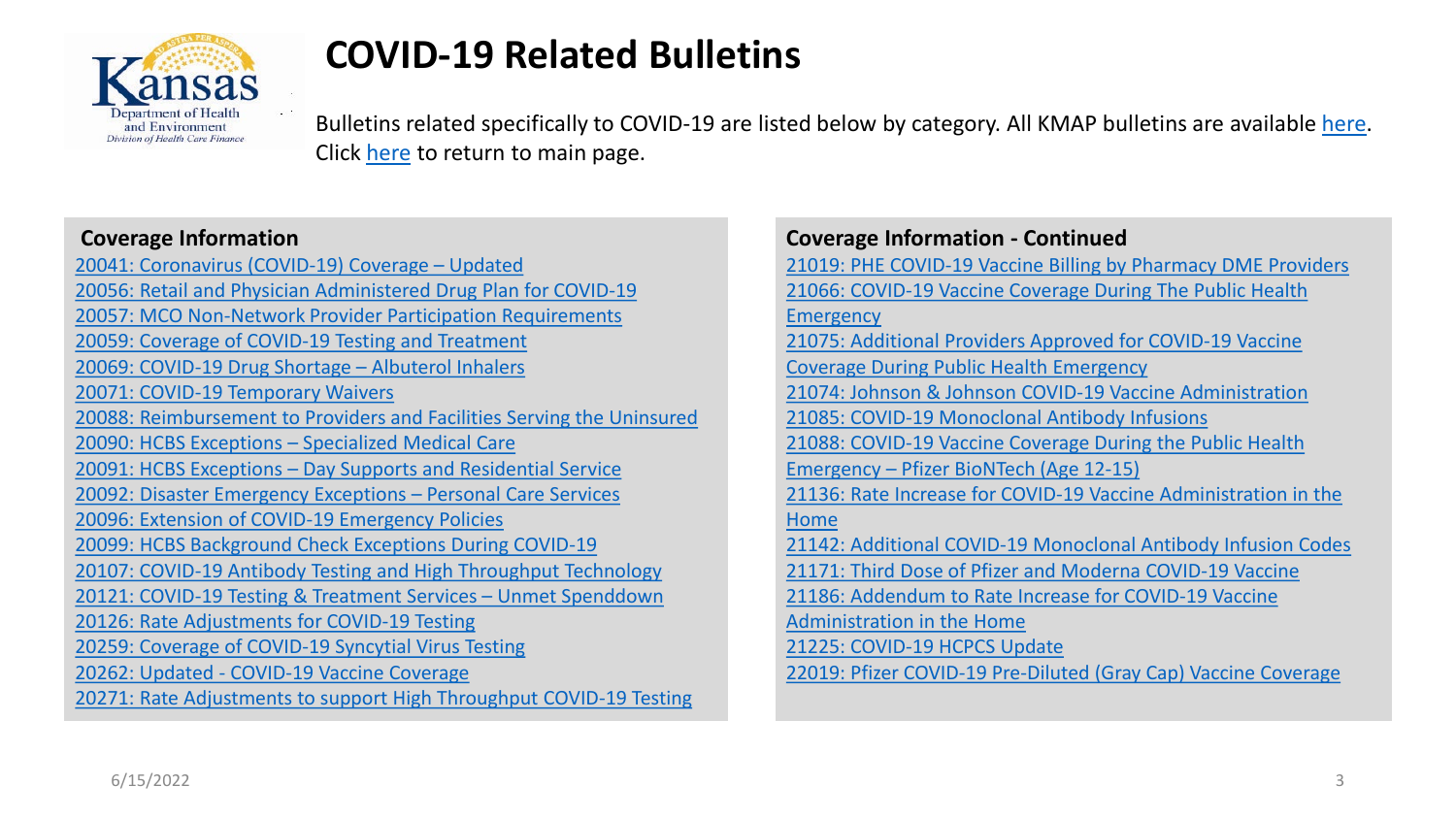<span id="page-2-0"></span>

# **COVID-19 Related Bulletins**

Bulletins related specifically to COVID-19 are listed below by category. All KMAP bulletins are available [here.](https://portal.kmap-state-ks.us/PublicPage/Public/Bulletins/) Click [here](https://portal.kmap-state-ks.us/PublicPage/Public/Index/) to return to main page.

#### **Coverage Information**

[20041: Coronavirus \(COVID-19\) Coverage –](https://portal.kmap-state-ks.us/Documents/Provider/Bulletins/20041%20-%20General%20-%20UPDATED_Coronavirus_CPT_Codes_Update.pdf) Updated [20056: Retail and Physician Administered Drug Plan for COVID-19](https://portal.kmap-state-ks.us/Documents/Provider/Bulletins/20056%20-%20General%20-%20Retail_and_Physician_Administered_Drug_Plan_for_COVID_19.pdf) [20057: MCO Non-Network Provider Participation Requirements](https://portal.kmap-state-ks.us/Documents/Provider/Bulletins/20057%20-%20General%20-%20MCO_Provider_Requirements_Updates%20in_Response_to.pdf) [20059: Coverage of COVID-19 Testing and Treatment](https://portal.kmap-state-ks.us/Documents/Provider/Bulletins/20059%20-%20General%20-%20COVID_19_Coverage_Testing_and_Treatment.pdf) [20069: COVID-19 Drug Shortage –](https://portal.kmap-state-ks.us/Documents/Provider/Bulletins/20069%20-%20General%20-%20COVID_19_Albuterol_Inhaler_Shortage.pdf) Albuterol Inhalers [20071: COVID-19 Temporary Waivers](https://portal.kmap-state-ks.us/Documents/Provider/Bulletins/20071%20-%20General%20-%20COVID_19_Public_Health_Emergency.pdf) [20088: Reimbursement to Providers and Facilities Serving the Uninsured](https://portal.kmap-state-ks.us/Documents/Provider/Bulletins/20088%20-%20General%20-%20COVID_Provider_Enrollment.pdf) [20090: HCBS Exceptions –](https://portal.kmap-state-ks.us/Documents/Provider/Bulletins/20090%20-%20General%20-%20HCBS_Disaster_Emergency_Exceptions_SMC_E2020_061.pdf) Specialized Medical Care 20091: HCBS Exceptions – [Day Supports and Residential Service](https://portal.kmap-state-ks.us/Documents/Provider/Bulletins/20091%20-%20General%20-%20HCBS_Disaster_Emergency_Exceptions_Day_Supports_and_Residential_Service.pdf) [20092: Disaster Emergency Exceptions –](https://portal.kmap-state-ks.us/Documents/Provider/Bulletins/20092%20-%20General%20-%20HCBS_Disaster_Emergency_Exceptions_PCS.pdf) Personal Care Services [20096: Extension of COVID-19 Emergency Policies](https://portal.kmap-state-ks.us/Documents/Provider/Bulletins/20096%20-%20General%20-%20Extension_of_COVID_19_Emergency_Policies.pdf) [20099: HCBS Background Check Exceptions During COVID-19](https://portal.kmap-state-ks.us/Documents/Provider/Bulletins/20099%20-%20General%20-%20HCBS_Disaster_Emergency_Exceptions_Background_Check_Exception%20-%20E2020_069.pdf) [20107: COVID-19 Antibody Testing and High Throughput Technology](https://portal.kmap-state-ks.us/Documents/Provider/Bulletins/20107%20-%20General%20-%20Coverage_of_COVID-19_Antibody_Testing.pdf) [20121: COVID-19 Testing & Treatment Services –](https://portal.kmap-state-ks.us/Documents/Provider/Bulletins/20121%20-%20General%20-%20COVID-19_Testing_and_Treatment_Services_for_Members_with_Unmet_Spenddown.pdf) Unmet Spenddown [20126: Rate Adjustments for COVID-19 Testing](https://portal.kmap-state-ks.us/Documents/Provider/Bulletins/20126%20-%20General%20-%20Updated_COVID_19_Codes.pdf) [20259: Coverage of COVID-19 Syncytial Virus Testing](https://portal.kmap-state-ks.us/Documents/Provider/Bulletins/20259%20-%20Coverage_of_Multiplex_COVID-19_Influenza_A,_Influenza_B_and_Respiratory_Syncytial_Virus_(RSV)_Testing.pdf) 20262: Updated - [COVID-19 Vaccine Coverage](https://portal.kmap-state-ks.us/Documents/Provider/Bulletins/20262%20-%20General%20-%20UPDATED_COVID_19_Vaccine_Coverage.pdf) [20271: Rate Adjustments to support High Throughput COVID-19 Testing](https://portal.kmap-state-ks.us/Documents/Provider/Bulletins/20271%20-%20General%20-%20Rate_Adjustments_to_Support_Faster_High_Throughput_Technology_COVID-19_Diagnostic_Testing.pdf)

| <b>Coverage Information - Continued</b>                         |
|-----------------------------------------------------------------|
| 21019: PHE COVID-19 Vaccine Billing by Pharmacy DME Providers   |
| 21066: COVID-19 Vaccine Coverage During The Public Health       |
| Emergency                                                       |
| 21075: Additional Providers Approved for COVID-19 Vaccine       |
| <b>Coverage During Public Health Emergency</b>                  |
| 21074: Johnson & Johnson COVID-19 Vaccine Administration        |
| 21085: COVID-19 Monoclonal Antibody Infusions                   |
| 21088: COVID-19 Vaccine Coverage During the Public Health       |
| Emergency - Pfizer BioNTech (Age 12-15)                         |
| 21136: Rate Increase for COVID-19 Vaccine Administration in the |
| Home                                                            |
| 21142: Additional COVID-19 Monoclonal Antibody Infusion Codes   |
| 21171: Third Dose of Pfizer and Moderna COVID-19 Vaccine        |
| 21186: Addendum to Rate Increase for COVID-19 Vaccine           |
| <b>Administration in the Home</b>                               |
| 21225: COVID-19 HCPCS Update                                    |
| 22019: Pfizer COVID-19 Pre-Diluted (Gray Cap) Vaccine Coverage  |